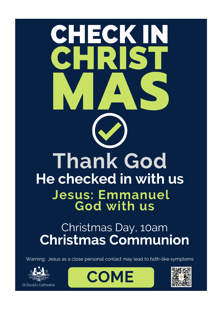# CHECKIN **Thank God** He checked in with us **Jesus: Emmanuel<br>God with us**

# Christmas Day, 10am **Christmas Communion**

Warning: Jesus as a close personal contact may lead to faith-like symptoms





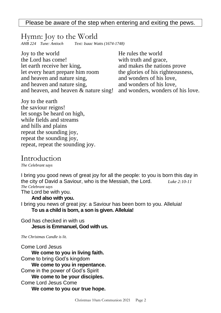#### Please be aware of the step when entering and exiting the pews.

## Hymn: Joy to the World<br>AHB 224 Tune: Antioch Text: Isaac We

*AHB 224 Tune: Antioch Text: Isaac Watts (1674-1748)*

Joy to the world the Lord has come! let earth receive her king, let every heart prepare him room and heaven and nature sing, and heaven and nature sing, and heaven, and heaven & nature sing! He rules the world with truth and grace, and makes the nations prove the glories of his righteousness, and wonders of his love, and wonders of his love, and wonders, wonders of his love.

Joy to the earth the saviour reigns! let songs be heard on high, while fields and streams and hills and plains repeat the sounding joy, repeat the sounding joy, repeat, repeat the sounding joy.

## Introduction

*The Celebrant says*

I bring you good news of great joy for all the people: to you is born this day in the city of David a Saviour, who is the Messiah, the Lord. *Luke 2:10-11 The Celebrant says* The Lord be with you.

**And also with you.**

I bring you news of great joy: a Saviour has been born to you. Alleluia! **To us a child is born, a son is given. Alleluia!**

God has checked in with us **Jesus is Emmanuel, God with us.**

*The Christmas Candle is lit.*

Come Lord Jesus **We come to you in living faith.** Come to bring God's kingdom **We come to you in repentance.** Come in the power of God's Spirit **We come to be your disciples.** Come Lord Jesus Come **We come to you our true hope.**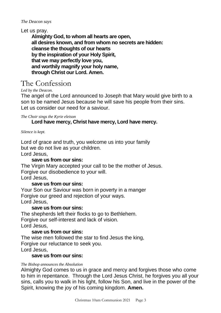Let us pray.

**Almighty God, to whom all hearts are open, all desires known, and from whom no secrets are hidden: cleanse the thoughts of our hearts by the inspiration of your Holy Spirit, that we may perfectly love you, and worthily magnify your holy name, through Christ our Lord. Amen.**

## The Confession

#### *Led by the Deacon.*

The angel of the Lord announced to Joseph that Mary would give birth to a son to be named Jesus because he will save his people from their sins. Let us consider our need for a saviour.

#### *The Choir sings the Kyrie eleison*

#### **Lord have mercy, Christ have mercy, Lord have mercy.**

#### *Silence is kept.*

Lord of grace and truth, you welcome us into your family but we do not live as your children.

Lord Jesus,

#### **save us from our sins:**

The Virgin Mary accepted your call to be the mother of Jesus. Forgive our disobedience to your will. Lord Jesus,

#### **save us from our sins:**

Your Son our Saviour was born in poverty in a manger Forgive our greed and rejection of your ways. Lord Jesus,

#### **save us from our sins:**

The shepherds left their flocks to go to Bethlehem. Forgive our self-interest and lack of vision. Lord Jesus,

#### **save us from our sins:**

The wise men followed the star to find Jesus the king, Forgive our reluctance to seek you. Lord Jesus,

#### **save us from our sins:**

#### *The Bishop announces the Absolution*

Almighty God comes to us in grace and mercy and forgives those who come to him in repentance. Through the Lord Jesus Christ, he forgives you all your sins, calls you to walk in his light, follow his Son, and live in the power of the Spirit, knowing the joy of his coming kingdom. **Amen.**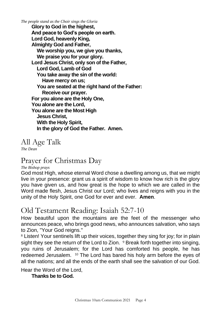*The people stand as the Choir sings the Gloria*

**Glory to God in the highest, And peace to God's people on earth. Lord God, heavenly King, Almighty God and Father, We worship you, we give you thanks, We praise you for your glory. Lord Jesus Christ, only son of the Father, Lord God, Lamb of God You take away the sin of the world: Have mercy on us; You are seated at the right hand of the Father: Receive our prayer. For you alone are the Holy One, You alone are the Lord, You alone are the Most High Jesus Christ, With the Holy Spirit, In the glory of God the Father. Amen.**

All Age Talk

*The Dean*

## Prayer for Christmas Day

*The Bishop prays*

God most High, whose eternal Word chose a dwelling among us, that we might live in your presence: grant us a spirit of wisdom to know how rich is the glory you have given us, and how great is the hope to which we are called in the Word made flesh, Jesus Christ our Lord; who lives and reigns with you in the unity of the Holy Spirit, one God for ever and ever. **Amen**.

## Old Testament Reading: Isaiah 52:7-10

How beautiful upon the mountains are the feet of the messenger who announces peace, who brings good news, who announces salvation, who says to Zion, "Your God reigns."

<sup>8</sup> Listen! Your sentinels lift up their voices, together they sing for joy; for in plain sight they see the return of the Lord to Zion. 9 Break forth together into singing, you ruins of Jerusalem; for the Lord has comforted his people, he has redeemed Jerusalem. <sup>10</sup> The Lord has bared his holy arm before the eyes of all the nations; and all the ends of the earth shall see the salvation of our God.

Hear the Word of the Lord,

**Thanks be to God.**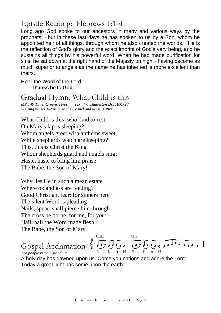## Epistle Reading: Hebrews 1:1-4

Long ago God spoke to our ancestors in many and various ways by the prophets, <sup>2</sup> but in these last days he has spoken to us by a Son, whom he appointed heir of all things, through whom he also created the worlds.  $\frac{3}{2}$  He is the reflection of God's glory and the exact imprint of God's very being, and he sustains all things by his powerful word. When he had made purification for sins, he sat down at the right hand of the Majesty on high, 4 having become as much superior to angels as the name he has inherited is more excellent than theirs.

Hear the Word of the Lord, **Thanks be to God.**

Gradual Hymn: What Child is this<br>MP 749 Tune: Greensleeves Text: W. Chatterton Dix 1837-98 *MP 749 Tune: Greensleeves Text: W. Chatterton Dix 1837-98 We sing verses 1-2 prior to the Gospel and verse 3 after.*

What Child is this, who, laid to rest, On Mary's lap is sleeping? Whom angels greet with anthems sweet, While shepherds watch are keeping? This, this is Christ the King Whom shepherds guard and angels sing; Haste, haste to bring him praise The Babe, the Son of Mary!

Why lies He in such a mean estate Where ox and ass are feeding? Good Christian, fear; for sinners here The silent Word is pleading: Nails, spear, shall pierce him through The cross be borne, for me, for you: Hail, hail the Word made flesh, The Babe, the Son of Mary

#### Gospel Acclamation *The people remain standing*



A holy day has dawned upon us. Come you nations and adore the Lord: Today a great light has come upon the earth.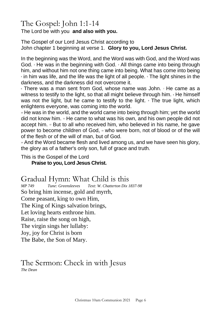## The Gospel: John 1:1-14

The Lord be with you **and also with you.**

The Gospel of our Lord Jesus Christ according to John chapter 1 beginning at verse 1. **Glory to you, Lord Jesus Christ.**

In the beginning was the Word, and the Word was with God, and the Word was God. <sup>2</sup> He was in the beginning with God. <sup>3</sup> All things came into being through him, and without him not one thing came into being. What has come into being  $\cdot$  in him was life, and the life was the light of all people.  $\cdot$  The light shines in the darkness, and the darkness did not overcome it.

 $\cdot$  There was a man sent from God, whose name was John.  $\cdot$  He came as a witness to testify to the light, so that all might believe through him.  $\cdot$  He himself was not the light, but he came to testify to the light.  $\overline{9}$  The true light, which enlightens everyone, was coming into the world.

<sup>10</sup> He was in the world, and the world came into being through him; yet the world did not know him.  $\cdot$  He came to what was his own, and his own people did not accept him. <sup>12</sup> But to all who received him, who believed in his name, he gave power to become children of God, <sup>13</sup> who were born, not of blood or of the will of the flesh or of the will of man, but of God.

<sup>44</sup> And the Word became flesh and lived among us, and we have seen his glory, the glory as of a father's only son, full of grace and truth.

This is the Gospel of the Lord

**Praise to you, Lord Jesus Christ.** 

# Gradual Hymn: What Child is this

*MP 749 Tune: Greensleeves Text: W. Chatterton Dix 1837-98* So bring him incense, gold and myrrh, Come peasant, king to own Him, The King of Kings salvation brings, Let loving hearts enthrone him. Raise, raise the song on high, The virgin sings her lullaby: Joy, joy for Christ is born The Babe, the Son of Mary.

#### The Sermon: Check in with Jesus *The Dean*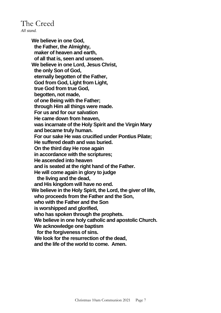The Creed *All stand.*

> **We believe in one God, the Father, the Almighty, maker of heaven and earth, of all that is, seen and unseen. We believe in one Lord, Jesus Christ, the only Son of God, eternally begotten of the Father, God from God, Light from Light, true God from true God, begotten, not made, of one Being with the Father; through Him all things were made. For us and for our salvation He came down from heaven, was incarnate of the Holy Spirit and the Virgin Mary and became truly human. For our sake He was crucified under Pontius Pilate; He suffered death and was buried. On the third day He rose again in accordance with the scriptures; He ascended into heaven and is seated at the right hand of the Father. He will come again in glory to judge the living and the dead, and His kingdom will have no end. We believe in the Holy Spirit, the Lord, the giver of life, who proceeds from the Father and the Son, who with the Father and the Son is worshipped and glorified, who has spoken through the prophets. We believe in one holy catholic and apostolic Church. We acknowledge one baptism for the forgiveness of sins. We look for the resurrection of the dead, and the life of the world to come. Amen.**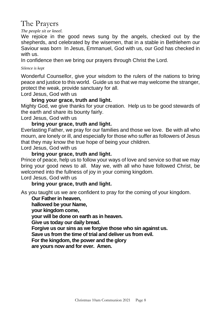## The Prayers

*The people sit or kneel.*

We rejoice in the good news sung by the angels, checked out by the shepherds, and celebrated by the wisemen, that in a stable in Bethlehem our Saviour was born In Jesus, Emmanuel, God with us, our God has checked in with us.

In confidence then we bring our prayers through Christ the Lord.

#### *Silence is kept*

Wonderful Counsellor, give your wisdom to the rulers of the nations to bring peace and justice to this world. Guide us so that we may welcome the stranger, protect the weak, provide sanctuary for all.

Lord Jesus, God with us

#### **bring your grace, truth and light.**

Mighty God, we give thanks for your creation. Help us to be good stewards of the earth and share its bounty fairly.

Lord Jesus, God with us

#### **bring your grace, truth and light.**

Everlasting Father, we pray for our families and those we love. Be with all who mourn, are lonely or ill, and especially for those who suffer as followers of Jesus that they may know the true hope of being your children.

Lord Jesus, God with us

#### **bring your grace, truth and light.**

Prince of peace, help us to follow your ways of love and service so that we may bring your good news to all. May we, with all who have followed Christ, be welcomed into the fullness of joy in your coming kingdom.

Lord Jesus, God with us

#### **bring your grace, truth and light.**

As you taught us we are confident to pray for the coming of your kingdom.

**Our Father in heaven,** 

**hallowed be your Name,**

**your kingdom come,** 

**your will be done on earth as in heaven.**

**Give us today our daily bread.**

**Forgive us our sins as we forgive those who sin against us.**

**Save us from the time of trial and deliver us from evil.**

**For the kingdom, the power and the glory**

**are yours now and for ever. Amen.**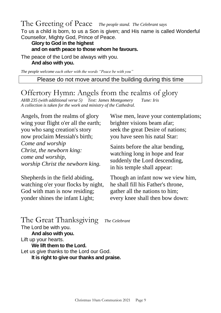## The Greeting of Peace *The people stand. The Celebrant says*

To us a child is born, to us a Son is given; and His name is called Wonderful Counsellor, Mighty God, Prince of Peace.

#### **Glory to God in the highest and on earth peace to those whom he favours.**

The peace of the Lord be always with you. **And also with you.**

*The people welcome each other with the words "Peace be with you"*

Please do not move around the building during this time

Offertory Hymn: Angels from the realms of glory

*AHB 235 (with additional verse 5) Text: James Montgomery Tune: Iris A collection is taken for the work and ministry of the Cathedral.*

Angels, from the realms of glory wing your flight o'er all the earth; you who sang creation's story now proclaim Messiah's birth; *Come and worship Christ, the newborn king: come and worship, worship Christ the newborn king.*

Shepherds in the field abiding, watching o'er your flocks by night, God with man is now residing; yonder shines the infant Light;

Wise men, leave your contemplations; brighter visions beam afar; seek the great Desire of nations; you have seen his natal Star:

Saints before the altar bending, watching long in hope and fear suddenly the Lord descending, in his temple shall appear:

Though an infant now we view him, he shall fill his Father's throne, gather all the nations to him; every knee shall then bow down:

The Great Thanksgiving *The Celebrant* The Lord be with you. **And also with you.** Lift up your hearts. **We lift them to the Lord.** Let us give thanks to the Lord our God. **It is right to give our thanks and praise.**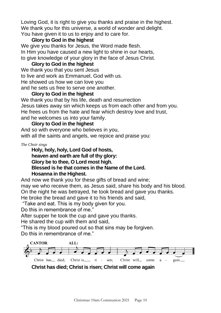Loving God, it is right to give you thanks and praise in the highest. We thank you for this universe, a world of wonder and delight. You have given it to us to enjoy and to care for.

#### **Glory to God in the highest**

We give you thanks for Jesus, the Word made flesh. In Him you have caused a new light to shine in our hearts, to give knowledge of your glory in the face of Jesus Christ.

#### **Glory to God in the highest**

We thank you that you sent Jesus to live and work as Emmanuel, God with us. He showed us how we can love you and he sets us free to serve one another.

#### **Glory to God in the highest**

We thank you that by his life, death and resurrection Jesus takes away sin which keeps us from each other and from you. He frees us from the hate and fear which destroy love and trust, and he welcomes us into your family.

#### **Glory to God in the highest**

And so with everyone who believes in you, with all the saints and angels, we rejoice and praise you:

*The Choir sings*

**Holy, holy, holy, Lord God of hosts, heaven and earth are full of thy glory: Glory be to thee, O Lord most high. Blessed is he that comes in the Name of the Lord. Hosanna in the Highest.**

And now we thank you for these gifts of bread and wine;

may we who receive them, as Jesus said, share his body and his blood. On the night he was betrayed, he took bread and gave you thanks.

He broke the bread and gave it to his friends and said,

"Take and eat. This is my body given for you.

Do this in remembrance of me."

After supper he took the cup and gave you thanks.

He shared the cup with them and said,

"This is my blood poured out so that sins may be forgiven. Do this in remembrance of me."



**Christ has died; Christ is risen; Christ will come again**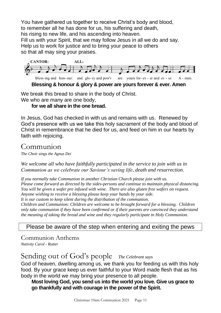You have gathered us together to receive Christ's body and blood, to remember all he has done for us, his suffering and death, his rising to new life, and his ascending into heaven. Fill us with your Spirit, that we may follow Jesus in all we do and say. Help us to work for justice and to bring your peace to others so that all may sing your praises.



#### **Blessing & honour & glory & power are yours forever & ever. Amen**

We break this bread to share in the body of Christ.

We who are many are one body.

#### **for we all share in the one bread.**

In Jesus, God has checked in with us and remains with us. Renewed by God's presence with us we take this holy sacrament of the body and blood of Christ in remembrance that he died for us, and feed on him in our hearts by faith with rejoicing.

### Communion

*The Choir sings the Agnus Dei*

We welcome all who have faithfully participated in the service to join with us in *Communion as we celebrate our Saviour's saving life, death and resurrection.*

*If you normally take Communion in another Christian Church please join with us. Please come forward as directed by the sides-persons and continue to maintain physical distancing. You will be given a wafer pre infused with wine. There are also gluten free wafers on request. Anyone wishing to receive a blessing please keep your hands by your side. It is our custom to keep silent during the distribution of the communion.*

*Children and Communion: Children are welcome to be brought forward for a blessing. Children only take communion if they have been confirmed or if their parents are convinced they understand the meaning of taking the bread and wine and they regularly participate in Holy Communion.*

#### Please be aware of the step when entering and exiting the pews

Communion Anthems *Nativity Carol - Rutter*

## Sending out of God's people *The Celebrant says*

God of heaven, dwelling among us, we thank you for feeding us with this holy food. By your grace keep us ever faithful to your Word made flesh that as his body in the world we may bring your presence to all people.

**Most loving God, you send us into the world you love. Give us grace to go thankfully and with courage in the power of the Spirit.**